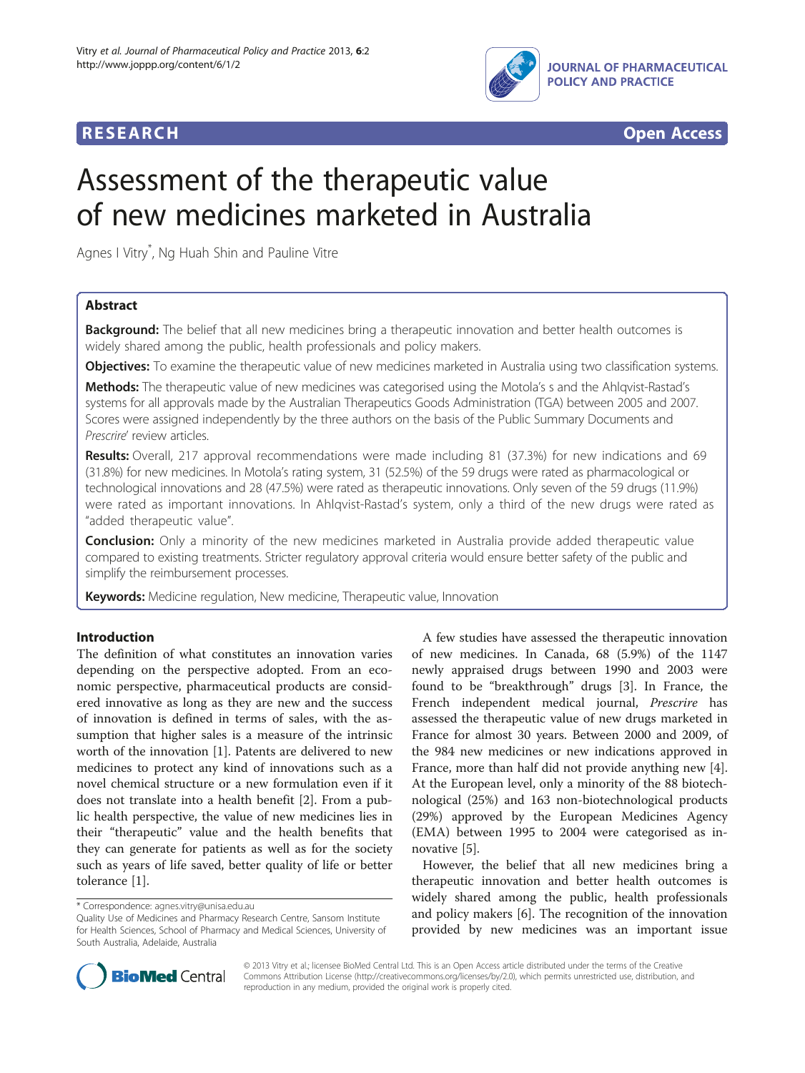



# Assessment of the therapeutic value of new medicines marketed in Australia

Agnes I Vitry\* , Ng Huah Shin and Pauline Vitre

## Abstract

**Background:** The belief that all new medicines bring a therapeutic innovation and better health outcomes is widely shared among the public, health professionals and policy makers.

Objectives: To examine the therapeutic value of new medicines marketed in Australia using two classification systems.

Methods: The therapeutic value of new medicines was categorised using the Motola's s and the Ahlqvist-Rastad's systems for all approvals made by the Australian Therapeutics Goods Administration (TGA) between 2005 and 2007. Scores were assigned independently by the three authors on the basis of the Public Summary Documents and Prescrire' review articles.

Results: Overall, 217 approval recommendations were made including 81 (37.3%) for new indications and 69 (31.8%) for new medicines. In Motola's rating system, 31 (52.5%) of the 59 drugs were rated as pharmacological or technological innovations and 28 (47.5%) were rated as therapeutic innovations. Only seven of the 59 drugs (11.9%) were rated as important innovations. In Ahlqvist-Rastad's system, only a third of the new drugs were rated as "added therapeutic value".

**Conclusion:** Only a minority of the new medicines marketed in Australia provide added therapeutic value compared to existing treatments. Stricter regulatory approval criteria would ensure better safety of the public and simplify the reimbursement processes.

Keywords: Medicine regulation, New medicine, Therapeutic value, Innovation

### Introduction

The definition of what constitutes an innovation varies depending on the perspective adopted. From an economic perspective, pharmaceutical products are considered innovative as long as they are new and the success of innovation is defined in terms of sales, with the assumption that higher sales is a measure of the intrinsic worth of the innovation [[1\]](#page-4-0). Patents are delivered to new medicines to protect any kind of innovations such as a novel chemical structure or a new formulation even if it does not translate into a health benefit [\[2](#page-4-0)]. From a public health perspective, the value of new medicines lies in their "therapeutic" value and the health benefits that they can generate for patients as well as for the society such as years of life saved, better quality of life or better tolerance [\[1](#page-4-0)].

\* Correspondence: [agnes.vitry@unisa.edu.au](mailto:agnes.vitry@unisa.edu.au)

A few studies have assessed the therapeutic innovation of new medicines. In Canada, 68 (5.9%) of the 1147 newly appraised drugs between 1990 and 2003 were found to be "breakthrough" drugs [\[3](#page-4-0)]. In France, the French independent medical journal, Prescrire has assessed the therapeutic value of new drugs marketed in France for almost 30 years. Between 2000 and 2009, of the 984 new medicines or new indications approved in France, more than half did not provide anything new [\[4](#page-4-0)]. At the European level, only a minority of the 88 biotechnological (25%) and 163 non-biotechnological products (29%) approved by the European Medicines Agency (EMA) between 1995 to 2004 were categorised as innovative [[5\]](#page-4-0).

However, the belief that all new medicines bring a therapeutic innovation and better health outcomes is widely shared among the public, health professionals and policy makers [[6\]](#page-4-0). The recognition of the innovation provided by new medicines was an important issue



© 2013 Vitry et al.; licensee BioMed Central Ltd. This is an Open Access article distributed under the terms of the Creative Commons Attribution License [\(http://creativecommons.org/licenses/by/2.0\)](http://creativecommons.org/licenses/by/2.0), which permits unrestricted use, distribution, and reproduction in any medium, provided the original work is properly cited.

Quality Use of Medicines and Pharmacy Research Centre, Sansom Institute for Health Sciences, School of Pharmacy and Medical Sciences, University of South Australia, Adelaide, Australia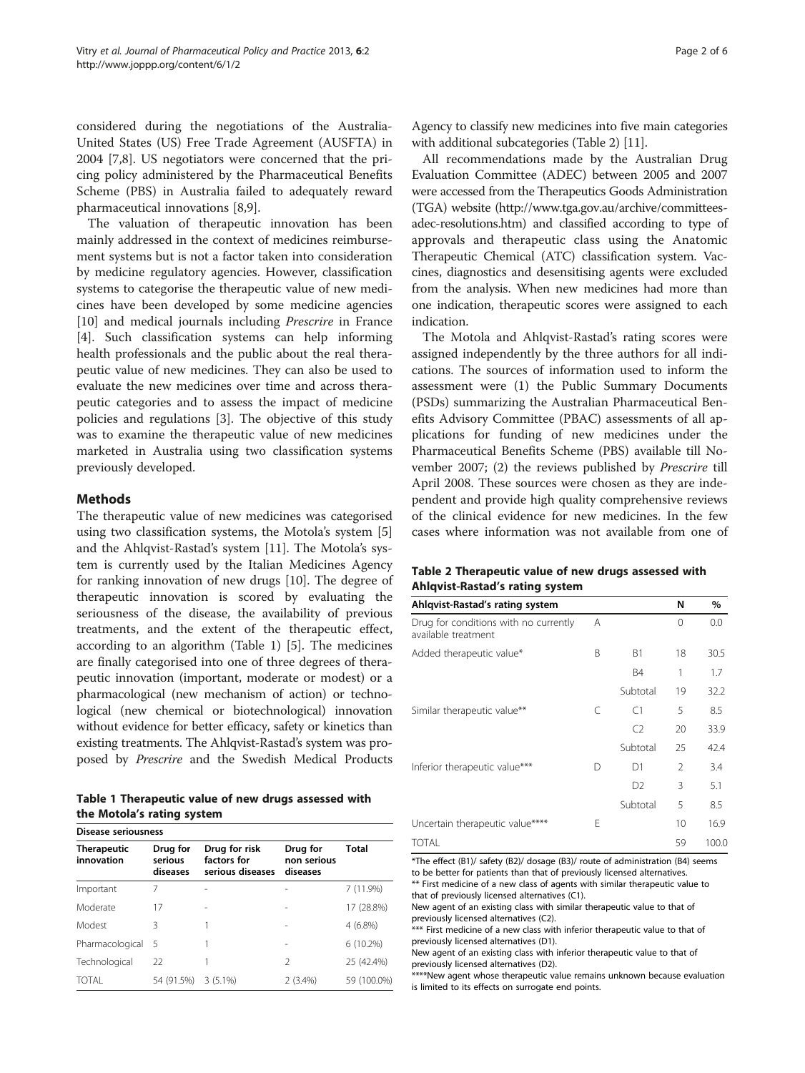<span id="page-1-0"></span>considered during the negotiations of the Australia-United States (US) Free Trade Agreement (AUSFTA) in 2004 [\[7,8](#page-4-0)]. US negotiators were concerned that the pricing policy administered by the Pharmaceutical Benefits Scheme (PBS) in Australia failed to adequately reward pharmaceutical innovations [[8](#page-4-0),[9\]](#page-5-0).

The valuation of therapeutic innovation has been mainly addressed in the context of medicines reimbursement systems but is not a factor taken into consideration by medicine regulatory agencies. However, classification systems to categorise the therapeutic value of new medicines have been developed by some medicine agencies [[10\]](#page-5-0) and medical journals including *Prescrire* in France [[4\]](#page-4-0). Such classification systems can help informing health professionals and the public about the real therapeutic value of new medicines. They can also be used to evaluate the new medicines over time and across therapeutic categories and to assess the impact of medicine policies and regulations [[3\]](#page-4-0). The objective of this study was to examine the therapeutic value of new medicines marketed in Australia using two classification systems previously developed.

#### Methods

The therapeutic value of new medicines was categorised using two classification systems, the Motola's system [\[5](#page-4-0)] and the Ahlqvist-Rastad's system [[11\]](#page-5-0). The Motola's system is currently used by the Italian Medicines Agency for ranking innovation of new drugs [\[10\]](#page-5-0). The degree of therapeutic innovation is scored by evaluating the seriousness of the disease, the availability of previous treatments, and the extent of the therapeutic effect, according to an algorithm (Table 1) [\[5](#page-4-0)]. The medicines are finally categorised into one of three degrees of therapeutic innovation (important, moderate or modest) or a pharmacological (new mechanism of action) or technological (new chemical or biotechnological) innovation without evidence for better efficacy, safety or kinetics than existing treatments. The Ahlqvist-Rastad's system was proposed by Prescrire and the Swedish Medical Products

Table 1 Therapeutic value of new drugs assessed with the Motola's rating system

| <b>Disease seriousness</b>       |                                 |                                                  |                                     |             |  |  |
|----------------------------------|---------------------------------|--------------------------------------------------|-------------------------------------|-------------|--|--|
| <b>Therapeutic</b><br>innovation | Drug for<br>serious<br>diseases | Drug for risk<br>factors for<br>serious diseases | Drug for<br>non serious<br>diseases | Total       |  |  |
| Important                        |                                 |                                                  |                                     | 7 (11.9%)   |  |  |
| Moderate                         | 17                              |                                                  |                                     | 17 (28.8%)  |  |  |
| Modest                           | 3                               |                                                  |                                     | $4(6.8\%)$  |  |  |
| Pharmacological                  | 5                               |                                                  |                                     | $6(10.2\%)$ |  |  |
| Technological                    | 22                              |                                                  | $\mathfrak{D}$                      | 25 (42.4%)  |  |  |
| TOTAI                            | 54 (91.5%)                      | $3(5.1\%)$                                       | $2(3.4\%)$                          | 59 (100.0%) |  |  |

Agency to classify new medicines into five main categories with additional subcategories (Table 2) [\[11](#page-5-0)].

All recommendations made by the Australian Drug Evaluation Committee (ADEC) between 2005 and 2007 were accessed from the Therapeutics Goods Administration (TGA) website [\(http://www.tga.gov.au/archive/committees](http://www.tga.gov.au/archive/committees-adec-resolutions.htm)[adec-resolutions.htm\)](http://www.tga.gov.au/archive/committees-adec-resolutions.htm) and classified according to type of approvals and therapeutic class using the Anatomic Therapeutic Chemical (ATC) classification system. Vaccines, diagnostics and desensitising agents were excluded from the analysis. When new medicines had more than one indication, therapeutic scores were assigned to each indication.

The Motola and Ahlqvist-Rastad's rating scores were assigned independently by the three authors for all indications. The sources of information used to inform the assessment were (1) the Public Summary Documents (PSDs) summarizing the Australian Pharmaceutical Benefits Advisory Committee (PBAC) assessments of all applications for funding of new medicines under the Pharmaceutical Benefits Scheme (PBS) available till November 2007; (2) the reviews published by Prescrire till April 2008. These sources were chosen as they are independent and provide high quality comprehensive reviews of the clinical evidence for new medicines. In the few cases where information was not available from one of

#### Table 2 Therapeutic value of new drugs assessed with Ahlqvist-Rastad's rating system

| Ahlqvist-Rastad's rating system                              |   |                | N              | %     |
|--------------------------------------------------------------|---|----------------|----------------|-------|
| Drug for conditions with no currently<br>available treatment | A |                | 0              | 0.0   |
| Added therapeutic value*                                     | B | <b>B1</b>      | 18             | 30.5  |
|                                                              |   | B <sub>4</sub> |                | 1.7   |
|                                                              |   | Subtotal       | 19             | 32.2  |
| Similar therapeutic value**                                  | C | C <sub>1</sub> | 5              | 8.5   |
|                                                              |   | C <sub>2</sub> | 20             | 33.9  |
|                                                              |   | Subtotal       | 25             | 42.4  |
| Inferior therapeutic value***                                | D | D1             | $\mathfrak{D}$ | 3.4   |
|                                                              |   | D <sub>2</sub> | 3              | 5.1   |
|                                                              |   | Subtotal       | 5              | 8.5   |
| Uncertain therapeutic value****                              |   |                | 10             | 16.9  |
| <b>TOTAL</b>                                                 |   |                | 59             | 100.0 |

\*The effect (B1)/ safety (B2)/ dosage (B3)/ route of administration (B4) seems to be better for patients than that of previously licensed alternatives. \*\* First medicine of a new class of agents with similar therapeutic value to

that of previously licensed alternatives (C1). New agent of an existing class with similar therapeutic value to that of previously licensed alternatives (C2).

\*\*\* First medicine of a new class with inferior therapeutic value to that of previously licensed alternatives (D1).

New agent of an existing class with inferior therapeutic value to that of previously licensed alternatives (D2).

\*\*\*\*New agent whose therapeutic value remains unknown because evaluation is limited to its effects on surrogate end points.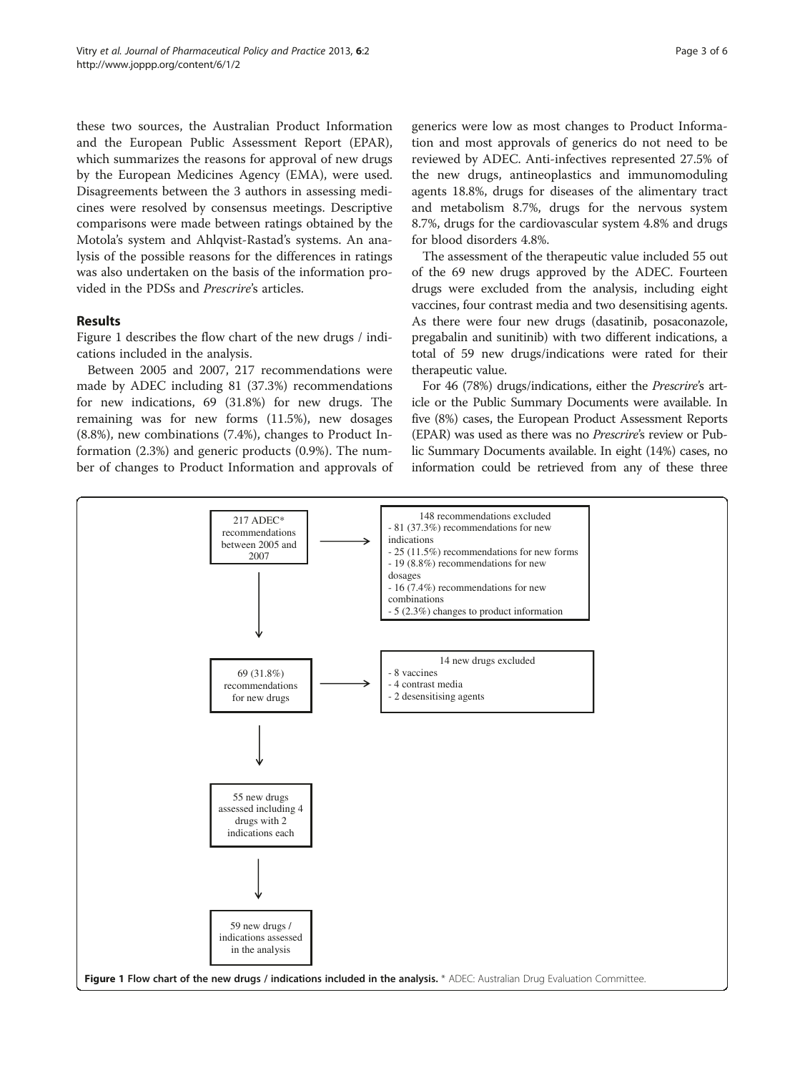these two sources, the Australian Product Information and the European Public Assessment Report (EPAR), which summarizes the reasons for approval of new drugs by the European Medicines Agency (EMA), were used. Disagreements between the 3 authors in assessing medicines were resolved by consensus meetings. Descriptive comparisons were made between ratings obtained by the Motola's system and Ahlqvist-Rastad's systems. An analysis of the possible reasons for the differences in ratings was also undertaken on the basis of the information provided in the PDSs and Prescrire's articles.

#### Results

Figure 1 describes the flow chart of the new drugs / indications included in the analysis.

Between 2005 and 2007, 217 recommendations were made by ADEC including 81 (37.3%) recommendations for new indications, 69 (31.8%) for new drugs. The remaining was for new forms (11.5%), new dosages (8.8%), new combinations (7.4%), changes to Product Information (2.3%) and generic products (0.9%). The number of changes to Product Information and approvals of generics were low as most changes to Product Information and most approvals of generics do not need to be reviewed by ADEC. Anti-infectives represented 27.5% of the new drugs, antineoplastics and immunomoduling agents 18.8%, drugs for diseases of the alimentary tract and metabolism 8.7%, drugs for the nervous system 8.7%, drugs for the cardiovascular system 4.8% and drugs for blood disorders 4.8%.

The assessment of the therapeutic value included 55 out of the 69 new drugs approved by the ADEC. Fourteen drugs were excluded from the analysis, including eight vaccines, four contrast media and two desensitising agents. As there were four new drugs (dasatinib, posaconazole, pregabalin and sunitinib) with two different indications, a total of 59 new drugs/indications were rated for their therapeutic value.

For 46 (78%) drugs/indications, either the Prescrire's article or the Public Summary Documents were available. In five (8%) cases, the European Product Assessment Reports (EPAR) was used as there was no Prescrire's review or Public Summary Documents available. In eight (14%) cases, no information could be retrieved from any of these three

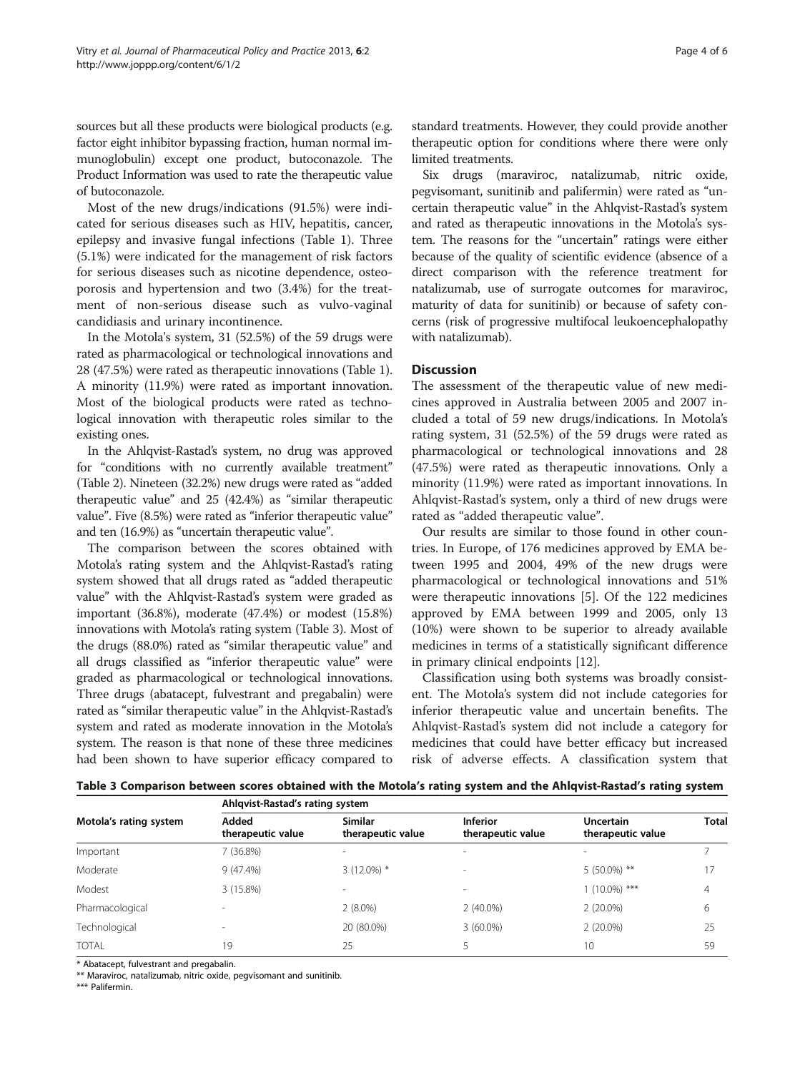sources but all these products were biological products (e.g. factor eight inhibitor bypassing fraction, human normal immunoglobulin) except one product, butoconazole. The Product Information was used to rate the therapeutic value of butoconazole.

Most of the new drugs/indications (91.5%) were indicated for serious diseases such as HIV, hepatitis, cancer, epilepsy and invasive fungal infections (Table [1\)](#page-1-0). Three (5.1%) were indicated for the management of risk factors for serious diseases such as nicotine dependence, osteoporosis and hypertension and two (3.4%) for the treatment of non-serious disease such as vulvo-vaginal candidiasis and urinary incontinence.

In the Motola's system, 31 (52.5%) of the 59 drugs were rated as pharmacological or technological innovations and 28 (47.5%) were rated as therapeutic innovations (Table [1](#page-1-0)). A minority (11.9%) were rated as important innovation. Most of the biological products were rated as technological innovation with therapeutic roles similar to the existing ones.

In the Ahlqvist-Rastad's system, no drug was approved for "conditions with no currently available treatment" (Table [2](#page-1-0)). Nineteen (32.2%) new drugs were rated as "added therapeutic value" and 25 (42.4%) as "similar therapeutic value". Five (8.5%) were rated as "inferior therapeutic value" and ten (16.9%) as "uncertain therapeutic value".

The comparison between the scores obtained with Motola's rating system and the Ahlqvist-Rastad's rating system showed that all drugs rated as "added therapeutic value" with the Ahlqvist-Rastad's system were graded as important (36.8%), moderate (47.4%) or modest (15.8%) innovations with Motola's rating system (Table 3). Most of the drugs (88.0%) rated as "similar therapeutic value" and all drugs classified as "inferior therapeutic value" were graded as pharmacological or technological innovations. Three drugs (abatacept, fulvestrant and pregabalin) were rated as "similar therapeutic value" in the Ahlqvist-Rastad's system and rated as moderate innovation in the Motola's system. The reason is that none of these three medicines had been shown to have superior efficacy compared to

Six drugs (maraviroc, natalizumab, nitric oxide, pegvisomant, sunitinib and palifermin) were rated as "uncertain therapeutic value" in the Ahlqvist-Rastad's system and rated as therapeutic innovations in the Motola's system. The reasons for the "uncertain" ratings were either because of the quality of scientific evidence (absence of a direct comparison with the reference treatment for natalizumab, use of surrogate outcomes for maraviroc, maturity of data for sunitinib) or because of safety concerns (risk of progressive multifocal leukoencephalopathy with natalizumab).

#### Discussion

The assessment of the therapeutic value of new medicines approved in Australia between 2005 and 2007 included a total of 59 new drugs/indications. In Motola's rating system, 31 (52.5%) of the 59 drugs were rated as pharmacological or technological innovations and 28 (47.5%) were rated as therapeutic innovations. Only a minority (11.9%) were rated as important innovations. In Ahlqvist-Rastad's system, only a third of new drugs were rated as "added therapeutic value".

Our results are similar to those found in other countries. In Europe, of 176 medicines approved by EMA between 1995 and 2004, 49% of the new drugs were pharmacological or technological innovations and 51% were therapeutic innovations [[5\]](#page-4-0). Of the 122 medicines approved by EMA between 1999 and 2005, only 13 (10%) were shown to be superior to already available medicines in terms of a statistically significant difference in primary clinical endpoints [[12\]](#page-5-0).

Classification using both systems was broadly consistent. The Motola's system did not include categories for inferior therapeutic value and uncertain benefits. The Ahlqvist-Rastad's system did not include a category for medicines that could have better efficacy but increased risk of adverse effects. A classification system that

| Table 3 Comparison between scores obtained with the Motola's rating system and the Ahlqvist-Rastad's rating system |  |
|--------------------------------------------------------------------------------------------------------------------|--|
|--------------------------------------------------------------------------------------------------------------------|--|

| Motola's rating system | Ahlqvist-Rastad's rating system |                                     |                                      |                                       |              |  |  |
|------------------------|---------------------------------|-------------------------------------|--------------------------------------|---------------------------------------|--------------|--|--|
|                        | Added<br>therapeutic value      | <b>Similar</b><br>therapeutic value | <b>Inferior</b><br>therapeutic value | <b>Uncertain</b><br>therapeutic value | <b>Total</b> |  |  |
| Important              | 7(36.8%)                        | $\sim$                              |                                      |                                       |              |  |  |
| Moderate               | $9(47.4\%)$                     | $3(12.0\%)$ *                       |                                      | $5(50.0\%)$ **                        | 17           |  |  |
| Modest                 | 3 (15.8%)                       | $\overline{\phantom{a}}$            | $\overline{\phantom{a}}$             | $1(10.0\%)$ ***                       | 4            |  |  |
| Pharmacological        |                                 | $2(8.0\%)$                          | $2(40.0\%)$                          | $2(20.0\%)$                           | 6            |  |  |
| Technological          |                                 | 20 (80.0%)                          | $3(60.0\%)$                          | $2(20.0\%)$                           | 25           |  |  |
| <b>TOTAL</b>           | 19                              | 25                                  |                                      | 10                                    | 59           |  |  |

\* Abatacept, fulvestrant and pregabalin.

\*\* Maraviroc, natalizumab, nitric oxide, pegvisomant and sunitinib.

\*\*\* Palifermin.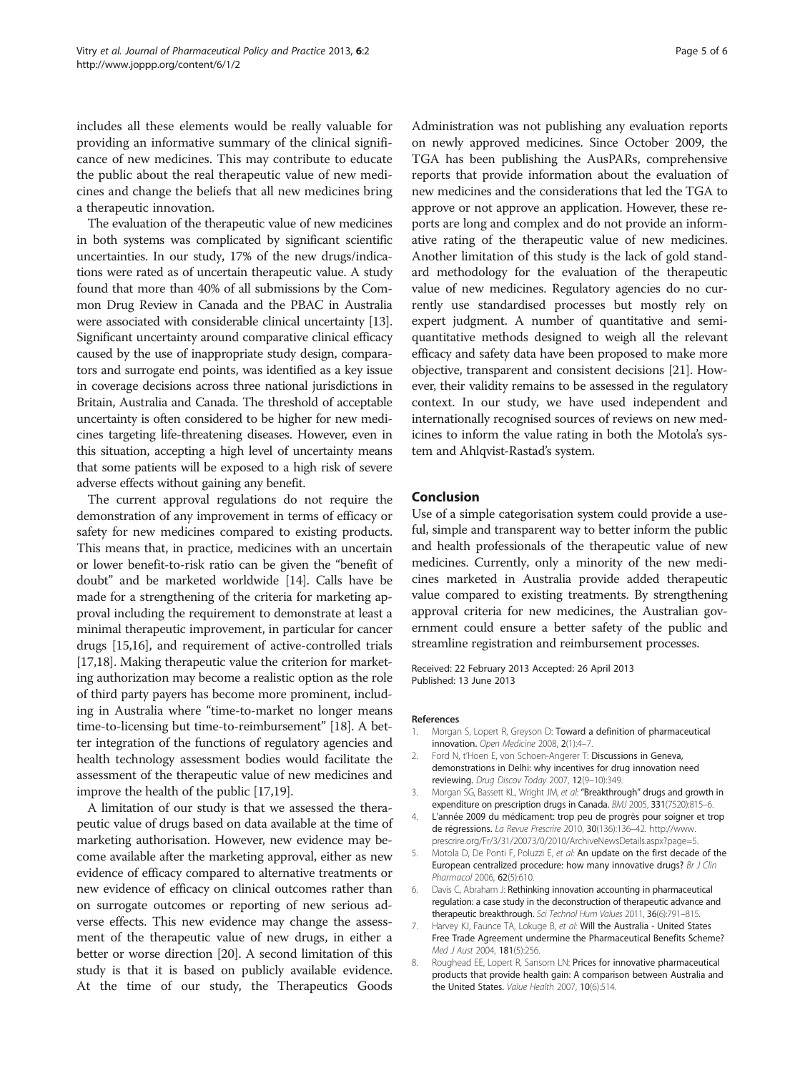<span id="page-4-0"></span>includes all these elements would be really valuable for providing an informative summary of the clinical significance of new medicines. This may contribute to educate the public about the real therapeutic value of new medicines and change the beliefs that all new medicines bring a therapeutic innovation.

The evaluation of the therapeutic value of new medicines in both systems was complicated by significant scientific uncertainties. In our study, 17% of the new drugs/indications were rated as of uncertain therapeutic value. A study found that more than 40% of all submissions by the Common Drug Review in Canada and the PBAC in Australia were associated with considerable clinical uncertainty [[13](#page-5-0)]. Significant uncertainty around comparative clinical efficacy caused by the use of inappropriate study design, comparators and surrogate end points, was identified as a key issue in coverage decisions across three national jurisdictions in Britain, Australia and Canada. The threshold of acceptable uncertainty is often considered to be higher for new medicines targeting life-threatening diseases. However, even in this situation, accepting a high level of uncertainty means that some patients will be exposed to a high risk of severe adverse effects without gaining any benefit.

The current approval regulations do not require the demonstration of any improvement in terms of efficacy or safety for new medicines compared to existing products. This means that, in practice, medicines with an uncertain or lower benefit-to-risk ratio can be given the "benefit of doubt" and be marketed worldwide [\[14\]](#page-5-0). Calls have be made for a strengthening of the criteria for marketing approval including the requirement to demonstrate at least a minimal therapeutic improvement, in particular for cancer drugs [\[15,16](#page-5-0)], and requirement of active-controlled trials [[17,18](#page-5-0)]. Making therapeutic value the criterion for marketing authorization may become a realistic option as the role of third party payers has become more prominent, including in Australia where "time-to-market no longer means time-to-licensing but time-to-reimbursement" [\[18\]](#page-5-0). A better integration of the functions of regulatory agencies and health technology assessment bodies would facilitate the assessment of the therapeutic value of new medicines and improve the health of the public [[17,19\]](#page-5-0).

A limitation of our study is that we assessed the therapeutic value of drugs based on data available at the time of marketing authorisation. However, new evidence may become available after the marketing approval, either as new evidence of efficacy compared to alternative treatments or new evidence of efficacy on clinical outcomes rather than on surrogate outcomes or reporting of new serious adverse effects. This new evidence may change the assessment of the therapeutic value of new drugs, in either a better or worse direction [[20](#page-5-0)]. A second limitation of this study is that it is based on publicly available evidence. At the time of our study, the Therapeutics Goods

Administration was not publishing any evaluation reports on newly approved medicines. Since October 2009, the TGA has been publishing the AusPARs, comprehensive reports that provide information about the evaluation of new medicines and the considerations that led the TGA to approve or not approve an application. However, these reports are long and complex and do not provide an informative rating of the therapeutic value of new medicines. Another limitation of this study is the lack of gold standard methodology for the evaluation of the therapeutic value of new medicines. Regulatory agencies do no currently use standardised processes but mostly rely on expert judgment. A number of quantitative and semiquantitative methods designed to weigh all the relevant efficacy and safety data have been proposed to make more objective, transparent and consistent decisions [[21\]](#page-5-0). However, their validity remains to be assessed in the regulatory context. In our study, we have used independent and internationally recognised sources of reviews on new medicines to inform the value rating in both the Motola's system and Ahlqvist-Rastad's system.

#### Conclusion

Use of a simple categorisation system could provide a useful, simple and transparent way to better inform the public and health professionals of the therapeutic value of new medicines. Currently, only a minority of the new medicines marketed in Australia provide added therapeutic value compared to existing treatments. By strengthening approval criteria for new medicines, the Australian government could ensure a better safety of the public and streamline registration and reimbursement processes.

Received: 22 February 2013 Accepted: 26 April 2013 Published: 13 June 2013

#### References

- 1. Morgan S, Lopert R, Greyson D: Toward a definition of pharmaceutical innovation. Open Medicine 2008, 2(1):4–7.
- 2. Ford N, t'Hoen E, von Schoen-Angerer T: Discussions in Geneva, demonstrations in Delhi: why incentives for drug innovation need reviewing. Drug Discov Today 2007, 12(9–10):349.
- 3. Morgan SG, Bassett KL, Wright JM, et al: "Breakthrough" drugs and growth in expenditure on prescription drugs in Canada. BMJ 2005, 331(7520):815–6.
- 4. L'année 2009 du médicament: trop peu de progrès pour soigner et trop de régressions. La Revue Prescrire 2010, 30(136):136–42. [http://www.](http://www.prescrire.org/Fr/3/31/20073/0/2010/ArchiveNewsDetails.aspx?page=5) [prescrire.org/Fr/3/31/20073/0/2010/ArchiveNewsDetails.aspx?page=5.](http://www.prescrire.org/Fr/3/31/20073/0/2010/ArchiveNewsDetails.aspx?page=5)
- 5. Motola D, De Ponti F, Poluzzi E, et al: An update on the first decade of the European centralized procedure: how many innovative drugs? Br J Clin Pharmacol 2006, 62(5):610.
- Davis C, Abraham J: Rethinking innovation accounting in pharmaceutical regulation: a case study in the deconstruction of therapeutic advance and therapeutic breakthrough. Sci Technol Hum Values 2011, 36(6):791-815.
- 7. Harvey KJ, Faunce TA, Lokuge B, et al: Will the Australia United States Free Trade Agreement undermine the Pharmaceutical Benefits Scheme? Med J Aust 2004, 181(5):256.
- 8. Roughead EE, Lopert R, Sansom LN: Prices for innovative pharmaceutical products that provide health gain: A comparison between Australia and the United States. Value Health 2007, 10(6):514.